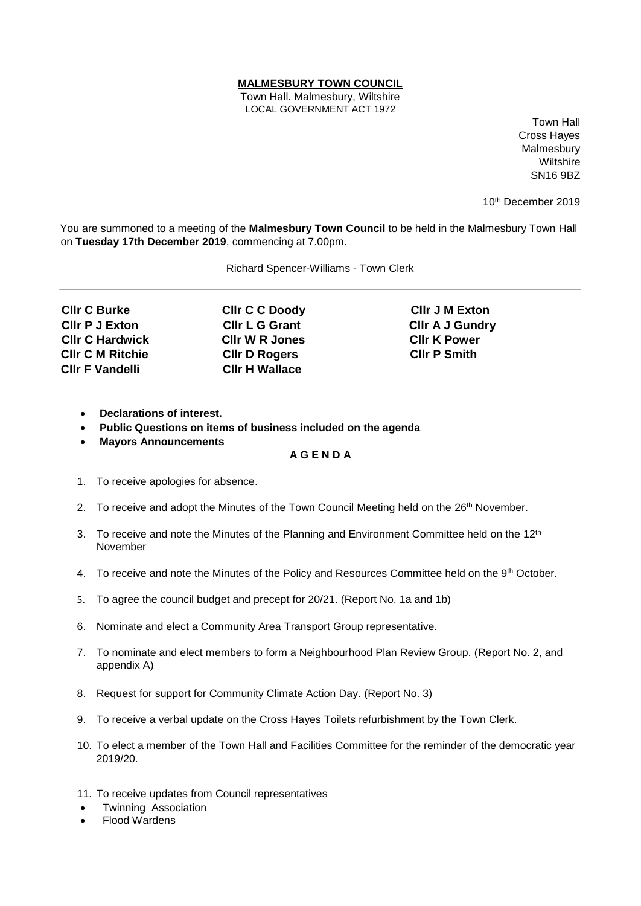## **MALMESBURY TOWN COUNCIL**

Town Hall. Malmesbury, Wiltshire LOCAL GOVERNMENT ACT 1972

Town Hall Cross Hayes Malmesbury **Wiltshire** SN16 9BZ

10th December 2019

You are summoned to a meeting of the **Malmesbury Town Council** to be held in the Malmesbury Town Hall on **Tuesday 17th December 2019**, commencing at 7.00pm.

Richard Spencer-Williams - Town Clerk

**Cllr C Burke Cllr C C Doody Cllr J M Exton Cllr C Hardwick Cllr W R Jones Cllr K Power Cllr C M Ritchie Cllr D Rogers Cllr P Smith Cllr F Vandelli Cllr H Wallace** 

**Cllr P J Exton Cllr L G Grant Cllr A J Gundry** 

- **Declarations of interest.**
- **Public Questions on items of business included on the agenda**
- **Mayors Announcements**

## **A G E N D A**

- 1. To receive apologies for absence.
- 2. To receive and adopt the Minutes of the Town Council Meeting held on the 26<sup>th</sup> November.
- 3. To receive and note the Minutes of the Planning and Environment Committee held on the  $12<sup>th</sup>$ November
- 4. To receive and note the Minutes of the Policy and Resources Committee held on the 9<sup>th</sup> October.
- 5. To agree the council budget and precept for 20/21. (Report No. 1a and 1b)
- 6. Nominate and elect a Community Area Transport Group representative.
- 7. To nominate and elect members to form a Neighbourhood Plan Review Group. (Report No. 2, and appendix A)
- 8. Request for support for Community Climate Action Day. (Report No. 3)
- 9. To receive a verbal update on the Cross Hayes Toilets refurbishment by the Town Clerk.
- 10. To elect a member of the Town Hall and Facilities Committee for the reminder of the democratic year 2019/20.
- 11. To receive updates from Council representatives
- Twinning Association
- Flood Wardens